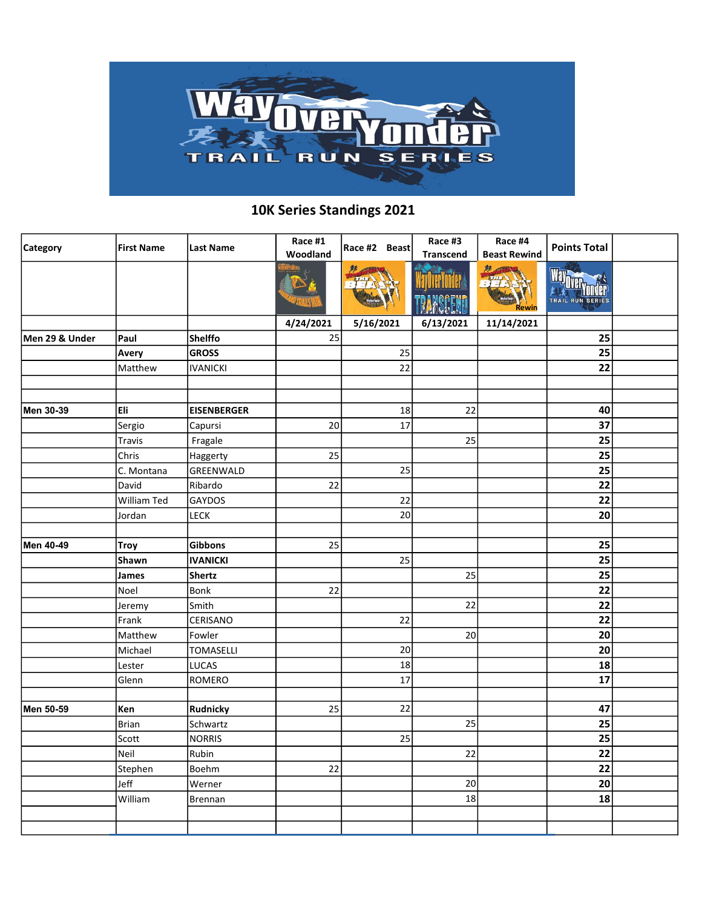

## 10K Series Standings 2021

| Category       | <b>First Name</b> | Last Name          | Race #1<br>Woodland | Race #2 Beast | Race #3<br><b>Transcend</b> | Race #4<br><b>Beast Rewind</b> | <b>Points Total</b> |  |
|----------------|-------------------|--------------------|---------------------|---------------|-----------------------------|--------------------------------|---------------------|--|
|                |                   |                    |                     |               |                             | 黟<br>$7 + 7 + 4$<br>Rewin      | TRAIL RUN SERIES    |  |
|                |                   |                    | 4/24/2021           | 5/16/2021     | 6/13/2021                   | 11/14/2021                     |                     |  |
| Men 29 & Under | Paul              | <b>Shelffo</b>     | 25                  |               |                             |                                | 25                  |  |
|                | Avery             | <b>GROSS</b>       |                     | 25            |                             |                                | 25                  |  |
|                | Matthew           | <b>IVANICKI</b>    |                     | 22            |                             |                                | 22                  |  |
|                |                   |                    |                     |               |                             |                                |                     |  |
|                |                   |                    |                     |               |                             |                                |                     |  |
| Men 30-39      | Eli               | <b>EISENBERGER</b> |                     | 18            | 22                          |                                | 40                  |  |
|                | Sergio            | Capursi            | 20                  | 17            |                             |                                | 37                  |  |
|                | Travis            | Fragale            |                     |               | 25                          |                                | 25                  |  |
|                | Chris             | Haggerty           | 25                  |               |                             |                                | 25                  |  |
|                | C. Montana        | GREENWALD          |                     | 25            |                             |                                | 25                  |  |
|                | David             | Ribardo            | 22                  |               |                             |                                | 22                  |  |
|                | William Ted       | GAYDOS             |                     | 22            |                             |                                | 22                  |  |
|                | Jordan            | LECK               |                     | 20            |                             |                                | 20                  |  |
|                |                   |                    |                     |               |                             |                                |                     |  |
| Men 40-49      | Troy              | <b>Gibbons</b>     | 25                  |               |                             |                                | 25                  |  |
|                | Shawn             | <b>IVANICKI</b>    |                     | 25            |                             |                                | 25                  |  |
|                | James             | <b>Shertz</b>      |                     |               | 25                          |                                | 25                  |  |
|                | Noel              | Bonk               | 22                  |               |                             |                                | 22                  |  |
|                | Jeremy            | Smith              |                     |               | 22                          |                                | 22                  |  |
|                | Frank             | CERISANO           |                     | 22            |                             |                                | 22                  |  |
|                | Matthew           | Fowler             |                     |               | 20                          |                                | 20                  |  |
|                | Michael           | TOMASELLI          |                     | 20            |                             |                                | 20                  |  |
|                | Lester            | LUCAS              |                     | 18            |                             |                                | 18                  |  |
|                | Glenn             | <b>ROMERO</b>      |                     | 17            |                             |                                | 17                  |  |
|                |                   |                    |                     |               |                             |                                |                     |  |
| Men 50-59      | Ken               | Rudnicky           | 25                  | 22            |                             |                                | 47                  |  |
|                | Brian             | Schwartz           |                     |               | 25                          |                                | 25                  |  |
|                | Scott             | <b>NORRIS</b>      |                     | 25            |                             |                                | 25                  |  |
|                | Neil              | Rubin              |                     |               | 22                          |                                | 22                  |  |
|                | Stephen           | Boehm              | 22                  |               |                             |                                | 22                  |  |
|                | Jeff              | Werner             |                     |               | 20                          |                                | 20                  |  |
|                | William           | Brennan            |                     |               | 18                          |                                | 18                  |  |
|                |                   |                    |                     |               |                             |                                |                     |  |
|                |                   |                    |                     |               |                             |                                |                     |  |